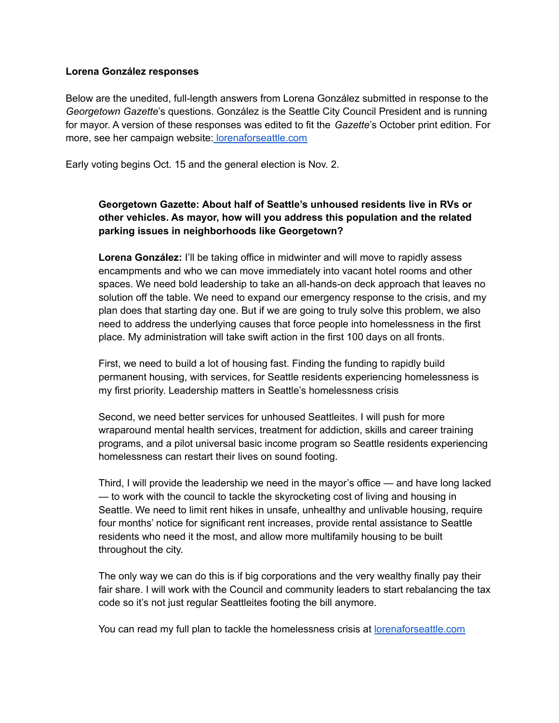#### **Lorena González responses**

Below are the unedited, full-length answers from Lorena González submitted in response to the *Georgetown Gazette*'s questions. González is the Seattle City Council President and is running for mayor. A version of these responses was edited to fit the *Gazette*'s October print edition. For more, see her campaign website: [lorenaforseattle.com](https://lorenaforseattle.com/)

Early voting begins Oct. 15 and the general election is Nov. 2.

# **Georgetown Gazette: About half of Seattle's unhoused residents live in RVs or other vehicles. As mayor, how will you address this population and the related parking issues in neighborhoods like Georgetown?**

**Lorena González:** I'll be taking office in midwinter and will move to rapidly assess encampments and who we can move immediately into vacant hotel rooms and other spaces. We need bold leadership to take an all-hands-on deck approach that leaves no solution off the table. We need to expand our emergency response to the crisis, and my plan does that starting day one. But if we are going to truly solve this problem, we also need to address the underlying causes that force people into homelessness in the first place. My administration will take swift action in the first 100 days on all fronts.

First, we need to build a lot of housing fast. Finding the funding to rapidly build permanent housing, with services, for Seattle residents experiencing homelessness is my first priority. Leadership matters in Seattle's homelessness crisis

Second, we need better services for unhoused Seattleites. I will push for more wraparound mental health services, treatment for addiction, skills and career training programs, and a pilot universal basic income program so Seattle residents experiencing homelessness can restart their lives on sound footing.

Third, I will provide the leadership we need in the mayor's office — and have long lacked — to work with the council to tackle the skyrocketing cost of living and housing in Seattle. We need to limit rent hikes in unsafe, unhealthy and unlivable housing, require four months' notice for significant rent increases, provide rental assistance to Seattle residents who need it the most, and allow more multifamily housing to be built throughout the city.

The only way we can do this is if big corporations and the very wealthy finally pay their fair share. I will work with the Council and community leaders to start rebalancing the tax code so it's not just regular Seattleites footing the bill anymore.

You can read my full plan to tackle the homelessness crisis at [lorenaforseattle.com](http://lorenaforseattle.com/)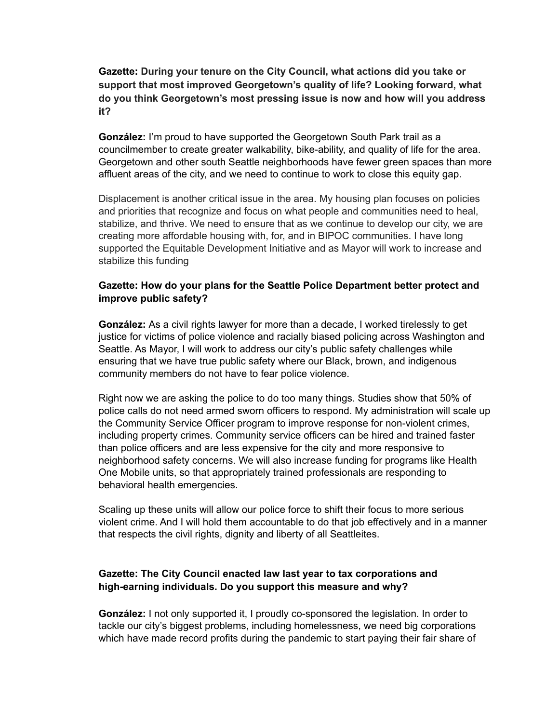# **Gazette: During your tenure on the City Council, what actions did you take or support that most improved Georgetown's quality of life? Looking forward, what do you think Georgetown's most pressing issue is now and how will you address it?**

**González:** I'm proud to have supported the Georgetown South Park trail as a councilmember to create greater walkability, bike-ability, and quality of life for the area. Georgetown and other south Seattle neighborhoods have fewer green spaces than more affluent areas of the city, and we need to continue to work to close this equity gap.

Displacement is another critical issue in the area. My housing plan focuses on policies and priorities that recognize and focus on what people and communities need to heal, stabilize, and thrive. We need to ensure that as we continue to develop our city, we are creating more affordable housing with, for, and in BIPOC communities. I have long supported the Equitable Development Initiative and as Mayor will work to increase and stabilize this funding

## **Gazette: How do your plans for the Seattle Police Department better protect and improve public safety?**

**González:** As a civil rights lawyer for more than a decade, I worked tirelessly to get justice for victims of police violence and racially biased policing across Washington and Seattle. As Mayor, I will work to address our city's public safety challenges while ensuring that we have true public safety where our Black, brown, and indigenous community members do not have to fear police violence.

Right now we are asking the police to do too many things. Studies show that 50% of police calls do not need armed sworn officers to respond. My administration will scale up the Community Service Officer program to improve response for non-violent crimes, including property crimes. Community service officers can be hired and trained faster than police officers and are less expensive for the city and more responsive to neighborhood safety concerns. We will also increase funding for programs like Health One Mobile units, so that appropriately trained professionals are responding to behavioral health emergencies.

Scaling up these units will allow our police force to shift their focus to more serious violent crime. And I will hold them accountable to do that job effectively and in a manner that respects the civil rights, dignity and liberty of all Seattleites.

## **Gazette: The City Council enacted law last year to tax corporations and high-earning individuals. Do you support this measure and why?**

**González:** I not only supported it, I proudly co-sponsored the legislation. In order to tackle our city's biggest problems, including homelessness, we need big corporations which have made record profits during the pandemic to start paying their fair share of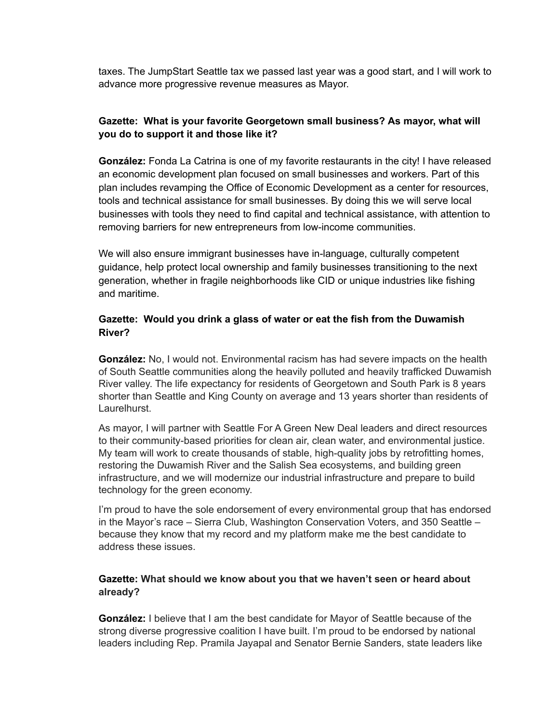taxes. The JumpStart Seattle tax we passed last year was a good start, and I will work to advance more progressive revenue measures as Mayor.

# **Gazette: What is your favorite Georgetown small business? As mayor, what will you do to support it and those like it?**

**González:** Fonda La Catrina is one of my favorite restaurants in the city! I have released an economic development plan focused on small businesses and workers. Part of this plan includes revamping the Office of Economic Development as a center for resources, tools and technical assistance for small businesses. By doing this we will serve local businesses with tools they need to find capital and technical assistance, with attention to removing barriers for new entrepreneurs from low-income communities.

We will also ensure immigrant businesses have in-language, culturally competent guidance, help protect local ownership and family businesses transitioning to the next generation, whether in fragile neighborhoods like CID or unique industries like fishing and maritime.

## **Gazette: Would you drink a glass of water or eat the fish from the Duwamish River?**

**González:** No, I would not. Environmental racism has had severe impacts on the health of South Seattle communities along the heavily polluted and heavily trafficked Duwamish River valley. The life expectancy for residents of Georgetown and South Park is 8 years shorter than Seattle and King County on average and 13 years shorter than residents of Laurelhurst.

As mayor, I will partner with Seattle For A Green New Deal leaders and direct resources to their community-based priorities for clean air, clean water, and environmental justice. My team will work to create thousands of stable, high-quality jobs by retrofitting homes, restoring the Duwamish River and the Salish Sea ecosystems, and building green infrastructure, and we will modernize our industrial infrastructure and prepare to build technology for the green economy.

I'm proud to have the sole endorsement of every environmental group that has endorsed in the Mayor's race – Sierra Club, Washington Conservation Voters, and 350 Seattle – because they know that my record and my platform make me the best candidate to address these issues.

# **Gazette: What should we know about you that we haven't seen or heard about already?**

**González:** I believe that I am the best candidate for Mayor of Seattle because of the strong diverse progressive coalition I have built. I'm proud to be endorsed by national leaders including Rep. Pramila Jayapal and Senator Bernie Sanders, state leaders like